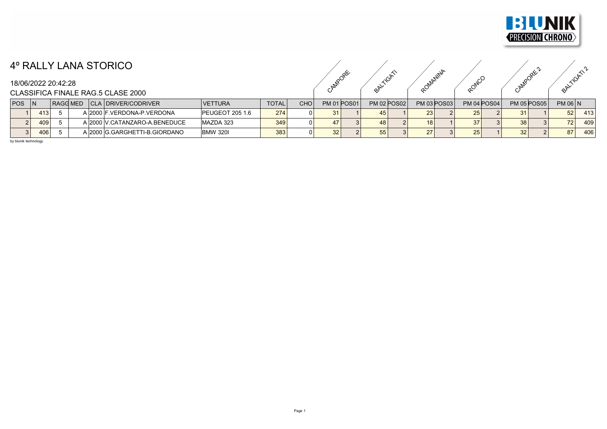

## 4º RALLY LANA STORICO

CAMPORE ORLIGATION ROMANINA ROMANINA CAMPORE ANTIGATIVA

## CLASSIFICA FINALE RAG.5 CLASE 2000

|            |     |                 | ___                           |                         |              |     |      |                    |                    |                    |                    |    |                    |                |     |
|------------|-----|-----------------|-------------------------------|-------------------------|--------------|-----|------|--------------------|--------------------|--------------------|--------------------|----|--------------------|----------------|-----|
| <b>POS</b> |     | <b>RAGG MED</b> | CLA   DRIVER/CODRIVER         | <b>VETTURA</b>          | <b>TOTAL</b> | CHO |      | <b>PM 01 POS01</b> | <b>PM 02 POS02</b> | <b>PM 03 POS03</b> | <b>PM 04 POS04</b> |    | <b>PM 05 POS05</b> | <b>PM 06 N</b> |     |
|            | 413 |                 | A 2000 F. VERDONA-P. VERDONA  | <b>IPEUGEOT 205 1.6</b> | 274          |     |      |                    | 45 <sub>1</sub>    | 23.                | 25 <sub>1</sub>    |    |                    | 52             | 413 |
|            | 409 |                 | A 2000 V.CATANZARO-A BENEDUCE | MAZDA 323               | 349          |     |      |                    | 48                 | 18 I               |                    | 38 |                    | 72             | 409 |
|            | 406 |                 | A 2000 G.GARGHETTI-B.GIORDANO | IBMW 320I               | 383          |     | 32 I |                    | 55                 |                    | 25 <sub>1</sub>    | 32 |                    | 0 <sub>7</sub> | 406 |

by blunik technology

18/06/2022 20:42:28